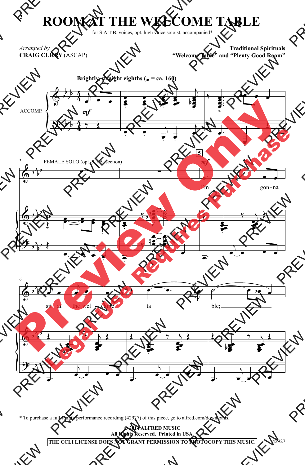## **ROOM AT THE WELCOME TABLE**

for S.A.T.B. voices, opt. high voice soloist, accompanied\*

*Arranged by*  **CRAIG CURRY** (ASCAP)

**2**

**Traditional Spirituals "Welcome Table" and "Plenty Good Room"**



\* To purchase a full-length performance recording (42927) of this piece, go to alfred.com/downloads.

**© 2014 ALFRED MUSIC All Rights Reserved. Printed in USA. THE CCLI LICENSE DOES NOT GRANT PERMISSION TO PHOTOCOPY THIS MUSIC.**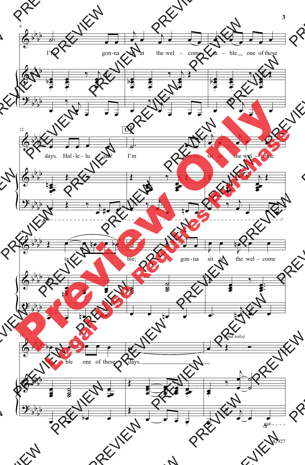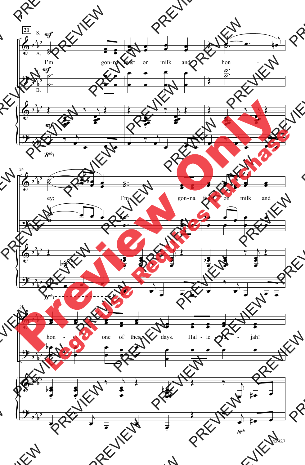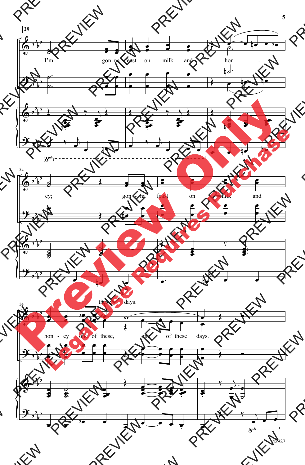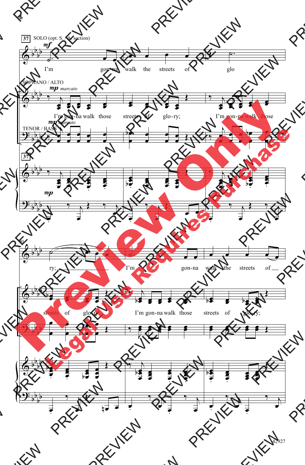

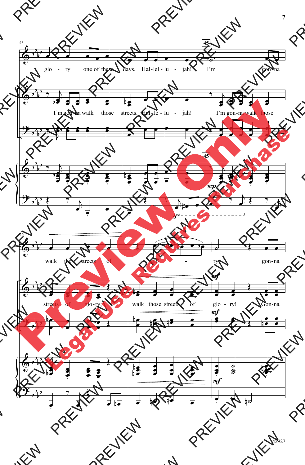

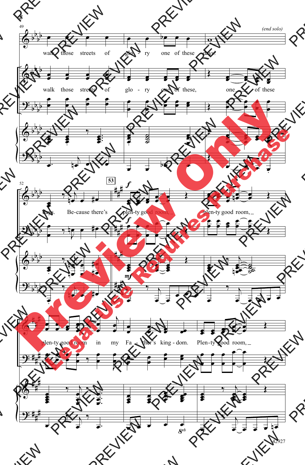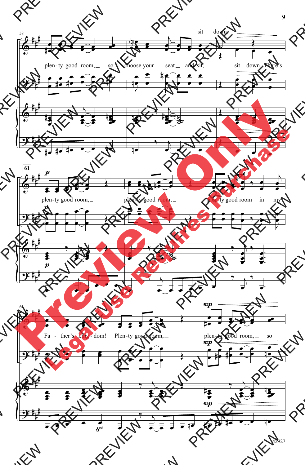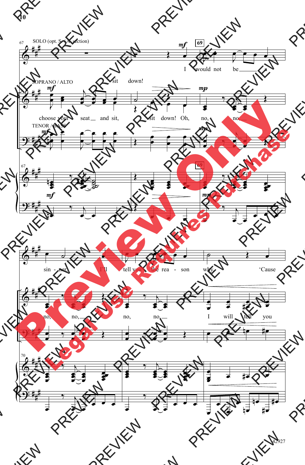**10**

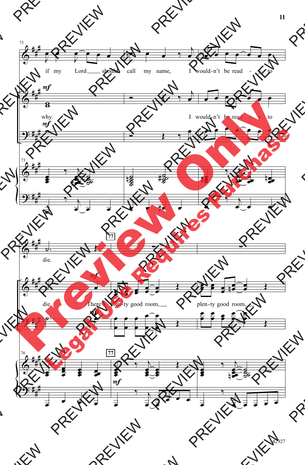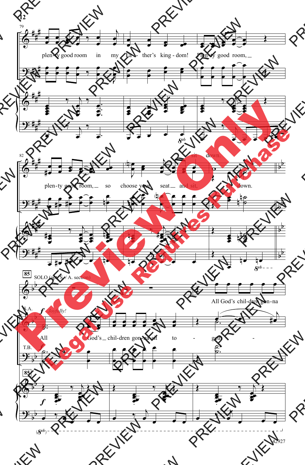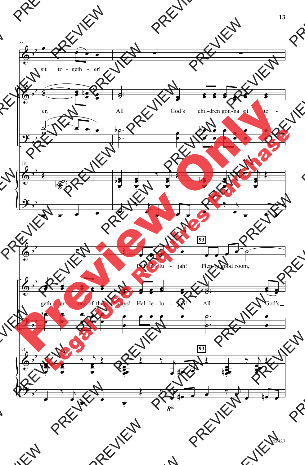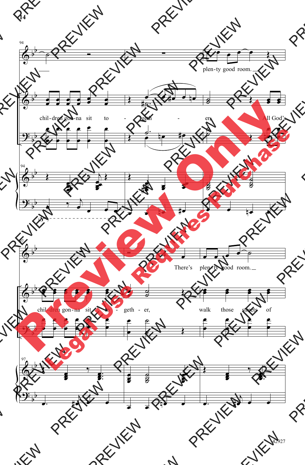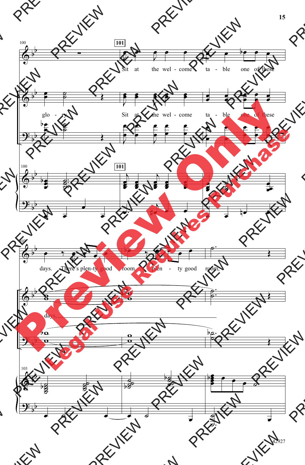